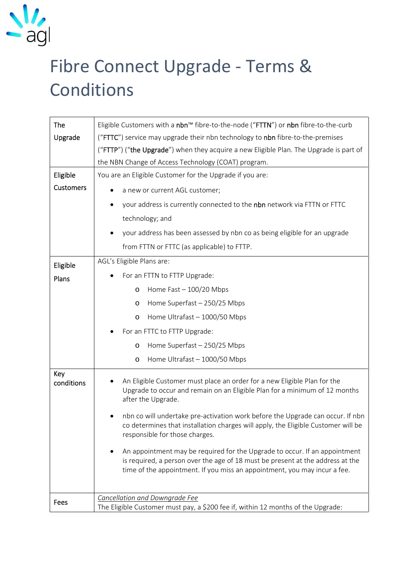

## Fibre Connect Upgrade - Terms & Conditions

| The               | Eligible Customers with a nbn™ fibre-to-the-node ("FTTN") or nbn fibre-to-the-curb                                                                                                                                                                             |
|-------------------|----------------------------------------------------------------------------------------------------------------------------------------------------------------------------------------------------------------------------------------------------------------|
| Upgrade           | ("FTTC") service may upgrade their nbn technology to nbn fibre-to-the-premises                                                                                                                                                                                 |
|                   | ("FTTP") ("the Upgrade") when they acquire a new Eligible Plan. The Upgrade is part of                                                                                                                                                                         |
|                   | the NBN Change of Access Technology (COAT) program.                                                                                                                                                                                                            |
| Eligible          | You are an Eligible Customer for the Upgrade if you are:                                                                                                                                                                                                       |
| <b>Customers</b>  | a new or current AGL customer;                                                                                                                                                                                                                                 |
|                   | your address is currently connected to the nbn network via FTTN or FTTC<br>$\bullet$                                                                                                                                                                           |
|                   | technology; and                                                                                                                                                                                                                                                |
|                   | your address has been assessed by nbn co as being eligible for an upgrade                                                                                                                                                                                      |
|                   | from FTTN or FTTC (as applicable) to FTTP.                                                                                                                                                                                                                     |
| Eligible          | AGL's Eligible Plans are:                                                                                                                                                                                                                                      |
| Plans             | For an FTTN to FTTP Upgrade:                                                                                                                                                                                                                                   |
|                   | Home Fast - 100/20 Mbps<br>O                                                                                                                                                                                                                                   |
|                   | Home Superfast - 250/25 Mbps<br>$\circ$                                                                                                                                                                                                                        |
|                   | Home Ultrafast - 1000/50 Mbps<br>$\circ$                                                                                                                                                                                                                       |
|                   | For an FTTC to FTTP Upgrade:                                                                                                                                                                                                                                   |
|                   | Home Superfast - 250/25 Mbps<br>$\circ$                                                                                                                                                                                                                        |
|                   | Home Ultrafast - 1000/50 Mbps<br>$\circ$                                                                                                                                                                                                                       |
| Key<br>conditions | An Eligible Customer must place an order for a new Eligible Plan for the<br>Upgrade to occur and remain on an Eligible Plan for a minimum of 12 months<br>after the Upgrade.<br>nbn co will undertake pre-activation work before the Upgrade can occur. If nbn |
|                   | co determines that installation charges will apply, the Eligible Customer will be<br>responsible for those charges.                                                                                                                                            |
|                   | An appointment may be required for the Upgrade to occur. If an appointment<br>is required, a person over the age of 18 must be present at the address at the<br>time of the appointment. If you miss an appointment, you may incur a fee.                      |
| Fees              | Cancellation and Downgrade Fee<br>The Eligible Customer must pay, a \$200 fee if, within 12 months of the Upgrade:                                                                                                                                             |